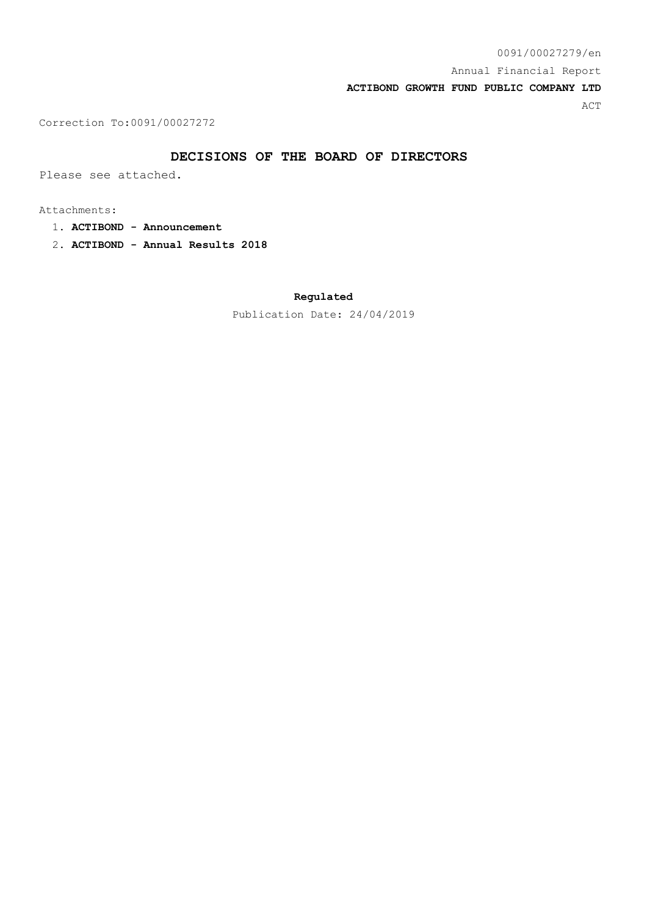Correction To:0091/00027272

### **DECISIONS OF THE BOARD OF DIRECTORS**

Please see attached.

Attachments:

- 1. **ACTIBOND Announcement**
- 2. **ACTIBOND Annual Results 2018**

**Regulated**

Publication Date: 24/04/2019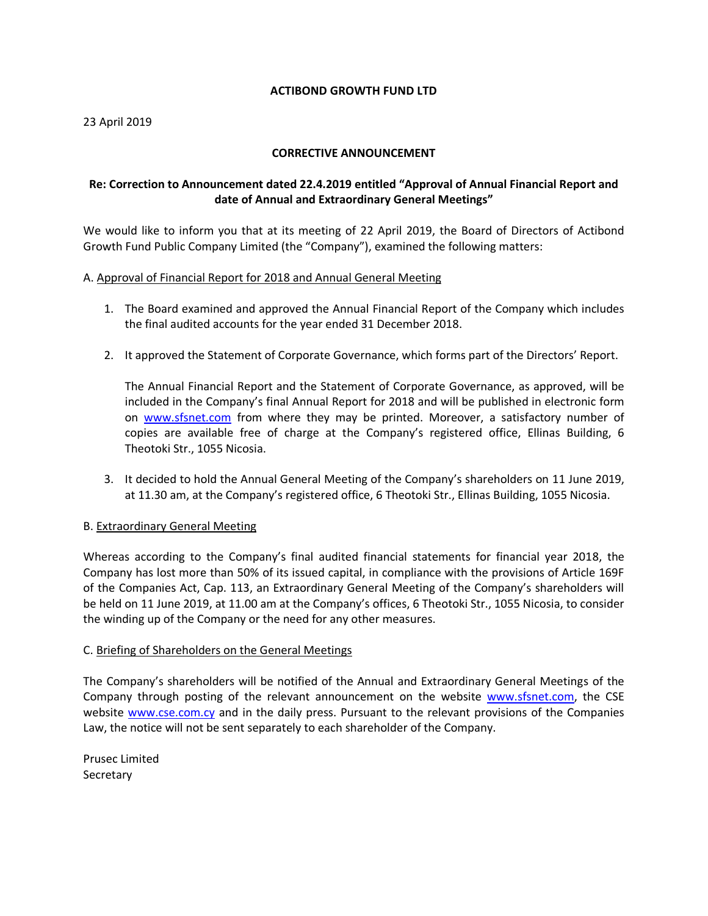## **ACTIBOND GROWTH FUND LTD**

### 23 April 2019

### **CORRECTIVE ANNOUNCEMENT**

# **Re: Correction to Announcement dated 22.4.2019 entitled "Approval of Annual Financial Report and date of Annual and Extraordinary General Meetings"**

We would like to inform you that at its meeting of 22 April 2019, the Board of Directors of Actibond Growth Fund Public Company Limited (the "Company"), examined the following matters:

#### A. Approval of Financial Report for 2018 and Annual General Meeting

- 1. The Board examined and approved the Annual Financial Report of the Company which includes the final audited accounts for the year ended 31 December 2018.
- 2. It approved the Statement of Corporate Governance, which forms part of the Directors' Report.

The Annual Financial Report and the Statement of Corporate Governance, as approved, will be included in the Company's final Annual Report for 2018 and will be published in electronic form on [www.sfsnet.com](http://www.sfsnet.com/) from where they may be printed. Moreover, a satisfactory number of copies are available free of charge at the Company's registered office, Ellinas Building, 6 Theotoki Str., 1055 Nicosia.

3. It decided to hold the Annual General Meeting of the Company's shareholders on 11 June 2019, at 11.30 am, at the Company's registered office, 6 Theotoki Str., Ellinas Building, 1055 Nicosia.

#### B. Extraordinary General Meeting

Whereas according to the Company's final audited financial statements for financial year 2018, the Company has lost more than 50% of its issued capital, in compliance with the provisions of Article 169F of the Companies Act, Cap. 113, an Extraordinary General Meeting of the Company's shareholders will be held on 11 June 2019, at 11.00 am at the Company's offices, 6 Theotoki Str., 1055 Nicosia, to consider the winding up of the Company or the need for any other measures.

#### C. Briefing of Shareholders on the General Meetings

The Company's shareholders will be notified of the Annual and Extraordinary General Meetings of the Company through posting of the relevant announcement on the website [www.sfsnet.com,](http://www.sfsnet.com/) the CSE website [www.cse.com.cy](http://www.cse.com.cy/) and in the daily press. Pursuant to the relevant provisions of the Companies Law, the notice will not be sent separately to each shareholder of the Company.

Prusec Limited **Secretary**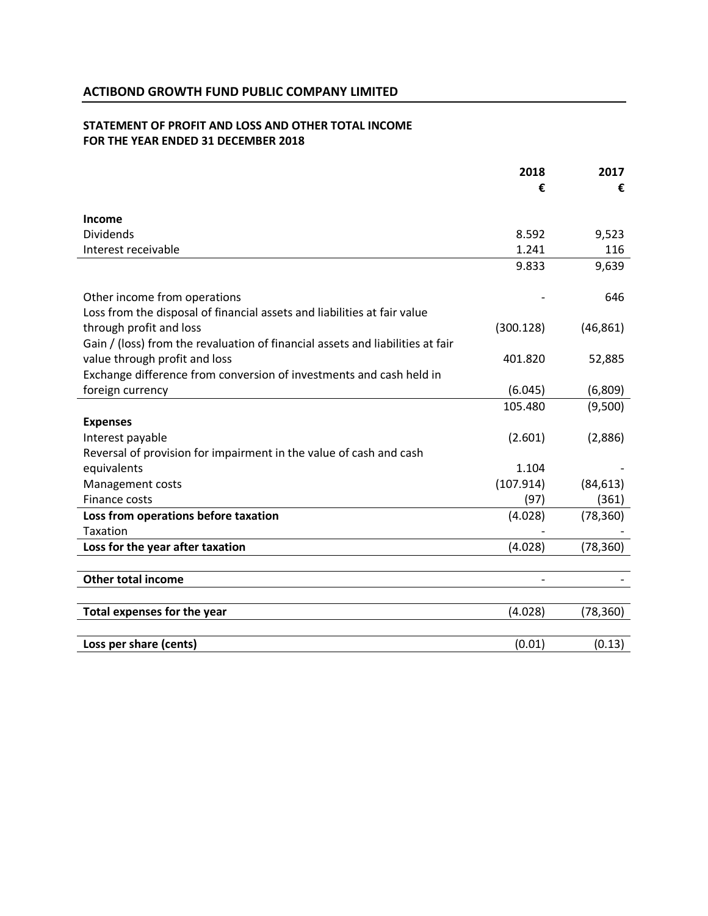# **STATEMENT OF PROFIT AND LOSS AND OTHER TOTAL INCOME FOR THE YEAR ENDED 31 DECEMBER 2018**

|                                                                                | 2018      | 2017      |
|--------------------------------------------------------------------------------|-----------|-----------|
|                                                                                | €         | €         |
| Income                                                                         |           |           |
| <b>Dividends</b>                                                               | 8.592     | 9,523     |
| Interest receivable                                                            | 1.241     | 116       |
|                                                                                | 9.833     | 9,639     |
| Other income from operations                                                   |           | 646       |
| Loss from the disposal of financial assets and liabilities at fair value       |           |           |
| through profit and loss                                                        | (300.128) | (46, 861) |
| Gain / (loss) from the revaluation of financial assets and liabilities at fair |           |           |
| value through profit and loss                                                  | 401.820   | 52,885    |
| Exchange difference from conversion of investments and cash held in            |           |           |
| foreign currency                                                               | (6.045)   | (6,809)   |
|                                                                                | 105.480   | (9,500)   |
| <b>Expenses</b>                                                                |           |           |
| Interest payable                                                               | (2.601)   | (2,886)   |
| Reversal of provision for impairment in the value of cash and cash             |           |           |
| equivalents                                                                    | 1.104     |           |
| Management costs                                                               | (107.914) | (84, 613) |
| Finance costs                                                                  | (97)      | (361)     |
| Loss from operations before taxation                                           | (4.028)   | (78, 360) |
| <b>Taxation</b>                                                                |           |           |
| Loss for the year after taxation                                               | (4.028)   | (78, 360) |
|                                                                                |           |           |
| <b>Other total income</b>                                                      |           |           |
| Total expenses for the year                                                    | (4.028)   | (78, 360) |
|                                                                                |           |           |
| Loss per share (cents)                                                         | (0.01)    | (0.13)    |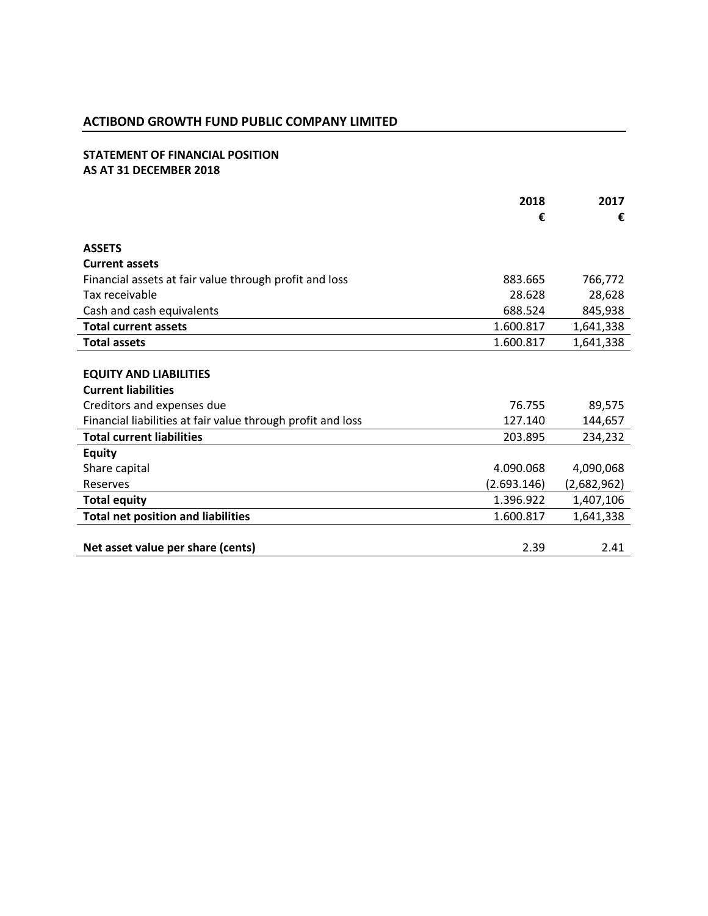# **ACTIBOND GROWTH FUND PUBLIC COMPANY LIMITED**

# **STATEMENT OF FINANCIAL POSITION AS AT 31 DECEMBER 2018**

|                                                             | 2018<br>€   | 2017<br>€   |
|-------------------------------------------------------------|-------------|-------------|
| <b>ASSETS</b>                                               |             |             |
| <b>Current assets</b>                                       |             |             |
| Financial assets at fair value through profit and loss      | 883.665     | 766,772     |
| Tax receivable                                              | 28.628      | 28,628      |
| Cash and cash equivalents                                   | 688.524     | 845,938     |
| <b>Total current assets</b>                                 | 1.600.817   | 1,641,338   |
| <b>Total assets</b>                                         | 1.600.817   | 1,641,338   |
| <b>EQUITY AND LIABILITIES</b><br><b>Current liabilities</b> |             |             |
| Creditors and expenses due                                  | 76.755      | 89,575      |
| Financial liabilities at fair value through profit and loss | 127.140     | 144,657     |
| <b>Total current liabilities</b>                            | 203.895     | 234,232     |
| <b>Equity</b>                                               |             |             |
| Share capital                                               | 4.090.068   | 4,090,068   |
| Reserves                                                    | (2.693.146) | (2,682,962) |
| <b>Total equity</b>                                         | 1.396.922   | 1,407,106   |
| <b>Total net position and liabilities</b>                   | 1.600.817   | 1,641,338   |
| Net asset value per share (cents)                           | 2.39        | 2.41        |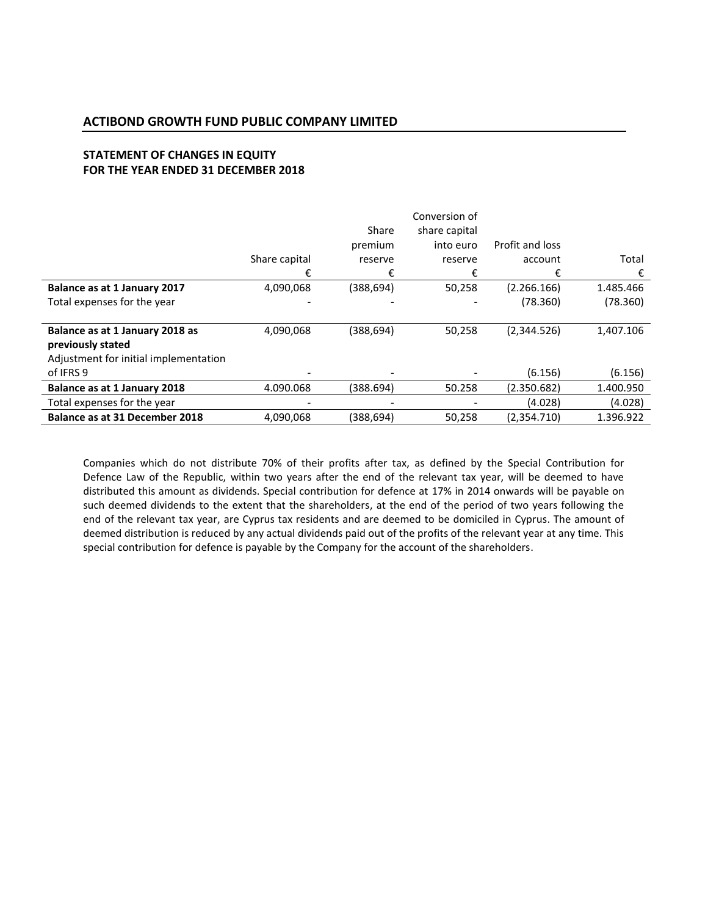# **STATEMENT OF CHANGES IN EQUITY FOR THE YEAR ENDED 31 DECEMBER 2018**

|                                       |               |           | Conversion of |                 |           |
|---------------------------------------|---------------|-----------|---------------|-----------------|-----------|
|                                       |               | Share     | share capital |                 |           |
|                                       |               | premium   | into euro     | Profit and loss |           |
|                                       | Share capital | reserve   | reserve       | account         | Total     |
|                                       | €             | €         | €             | €               | €         |
| Balance as at 1 January 2017          | 4,090,068     | (388,694) | 50,258        | (2.266.166)     | 1.485.466 |
| Total expenses for the year           |               |           |               | (78.360)        | (78.360)  |
|                                       |               |           |               |                 |           |
| Balance as at 1 January 2018 as       | 4,090,068     | (388,694) | 50,258        | (2,344.526)     | 1,407.106 |
| previously stated                     |               |           |               |                 |           |
| Adjustment for initial implementation |               |           |               |                 |           |
| of IFRS 9                             |               |           |               | (6.156)         | (6.156)   |
| Balance as at 1 January 2018          | 4.090.068     | (388.694) | 50.258        | (2.350.682)     | 1.400.950 |
| Total expenses for the year           |               |           |               | (4.028)         | (4.028)   |
| Balance as at 31 December 2018        | 4,090,068     | (388,694) | 50,258        | (2,354.710)     | 1.396.922 |

Companies which do not distribute 70% of their profits after tax, as defined by the Special Contribution for Defence Law of the Republic, within two years after the end of the relevant tax year, will be deemed to have distributed this amount as dividends. Special contribution for defence at 17% in 2014 onwards will be payable on such deemed dividends to the extent that the shareholders, at the end of the period of two years following the end of the relevant tax year, are Cyprus tax residents and are deemed to be domiciled in Cyprus. The amount of deemed distribution is reduced by any actual dividends paid out of the profits of the relevant year at any time. This special contribution for defence is payable by the Company for the account of the shareholders.